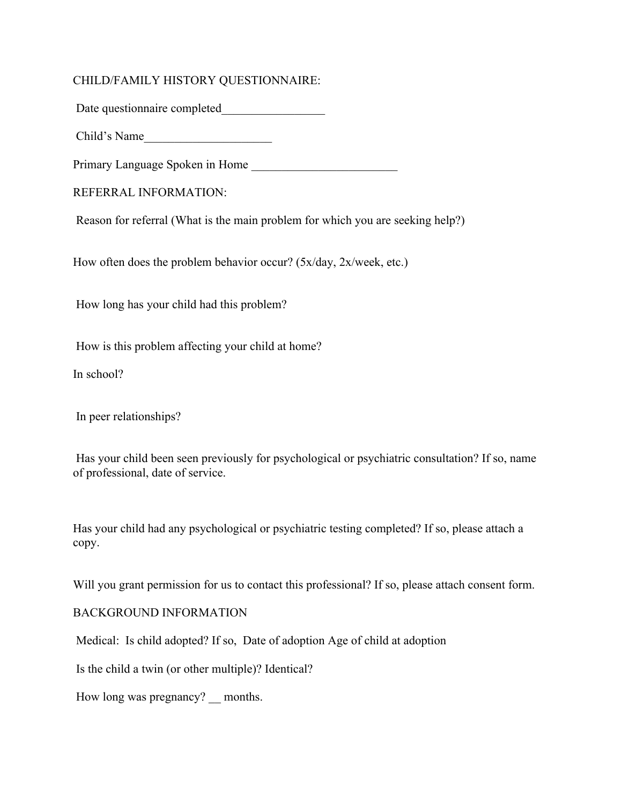## CHILD/FAMILY HISTORY QUESTIONNAIRE:

Date questionnaire completed\_\_\_\_\_\_\_\_\_\_\_\_\_\_\_\_\_

Child's Name

Primary Language Spoken in Home

REFERRAL INFORMATION:

Reason for referral (What is the main problem for which you are seeking help?)

How often does the problem behavior occur? (5x/day, 2x/week, etc.)

How long has your child had this problem?

How is this problem affecting your child at home?

In school?

In peer relationships?

Has your child been seen previously for psychological or psychiatric consultation? If so, name of professional, date of service.

Has your child had any psychological or psychiatric testing completed? If so, please attach a copy.

Will you grant permission for us to contact this professional? If so, please attach consent form.

BACKGROUND INFORMATION

Medical: Is child adopted? If so, Date of adoption Age of child at adoption

Is the child a twin (or other multiple)? Identical?

How long was pregnancy? months.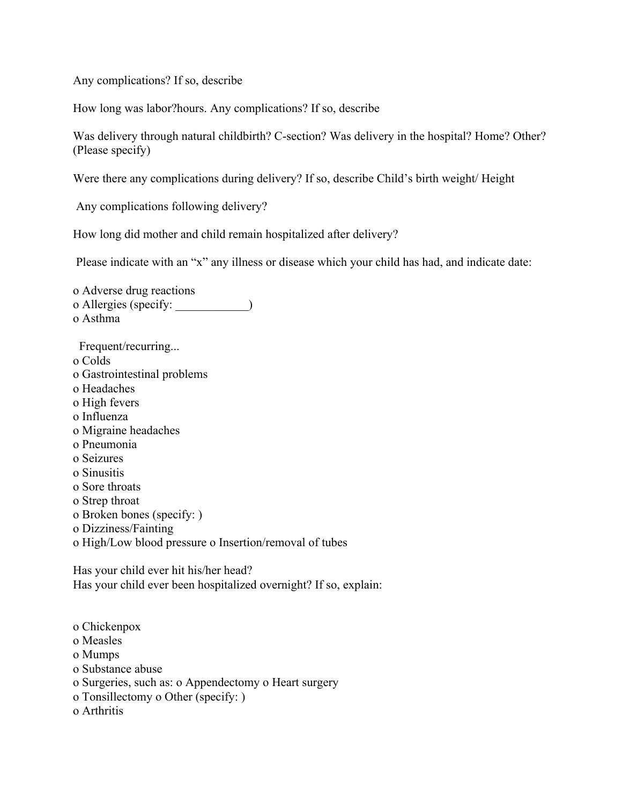Any complications? If so, describe

How long was labor?hours. Any complications? If so, describe

Was delivery through natural childbirth? C-section? Was delivery in the hospital? Home? Other? (Please specify)

Were there any complications during delivery? If so, describe Child's birth weight/ Height

Any complications following delivery?

How long did mother and child remain hospitalized after delivery?

Please indicate with an "x" any illness or disease which your child has had, and indicate date:

o Adverse drug reactions o Allergies (specify: \_\_\_\_\_\_\_\_\_\_\_\_) o Asthma Frequent/recurring... o Colds o Gastrointestinal problems o Headaches o High fevers o Influenza o Migraine headaches o Pneumonia o Seizures o Sinusitis o Sore throats o Strep throat o Broken bones (specify: ) o Dizziness/Fainting o High/Low blood pressure o Insertion/removal of tubes Has your child ever hit his/her head? Has your child ever been hospitalized overnight? If so, explain:

- o Chickenpox
- o Measles
- o Mumps
- o Substance abuse
- o Surgeries, such as: o Appendectomy o Heart surgery
- o Tonsillectomy o Other (specify: )
- o Arthritis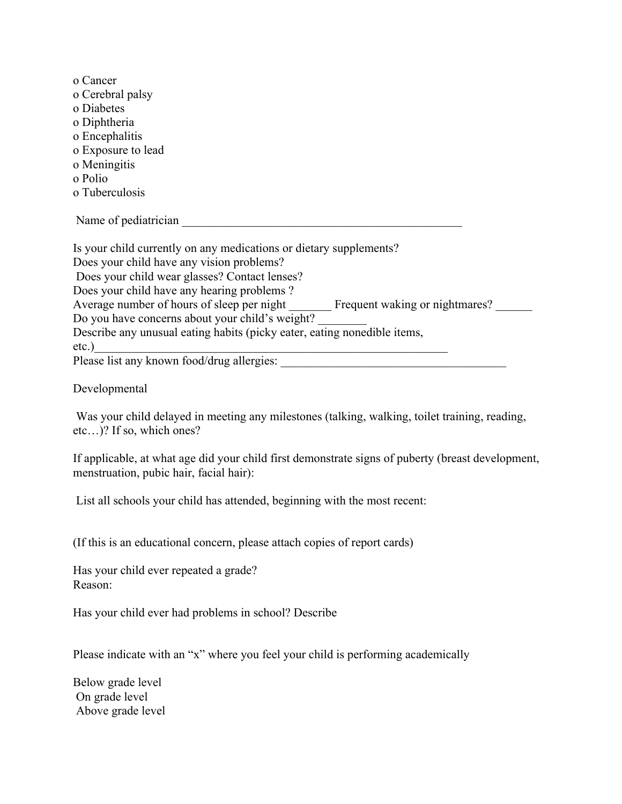| o Cancer                                                                             |
|--------------------------------------------------------------------------------------|
| o Cerebral palsy                                                                     |
| o Diabetes                                                                           |
| o Diphtheria                                                                         |
| o Encephalitis                                                                       |
| o Exposure to lead                                                                   |
| o Meningitis                                                                         |
| o Polio                                                                              |
| o Tuberculosis                                                                       |
| Name of pediatrician                                                                 |
| Is your child currently on any medications or dietary supplements?                   |
| Does your child have any vision problems?                                            |
| Does your child wear glasses? Contact lenses?                                        |
| Does your child have any hearing problems?                                           |
| Average number of hours of sleep per night Frequent waking or nightmares?            |
| Do you have concerns about your child's weight?                                      |
| Describe any unusual eating habits (picky eater, eating nonedible items,<br>$etc.$ ) |
| Please list any known food/drug allergies:                                           |
|                                                                                      |

Developmental

Was your child delayed in meeting any milestones (talking, walking, toilet training, reading, etc…)? If so, which ones?

If applicable, at what age did your child first demonstrate signs of puberty (breast development, menstruation, pubic hair, facial hair):

List all schools your child has attended, beginning with the most recent:

(If this is an educational concern, please attach copies of report cards)

Has your child ever repeated a grade? Reason:

Has your child ever had problems in school? Describe

Please indicate with an "x" where you feel your child is performing academically

Below grade level On grade level Above grade level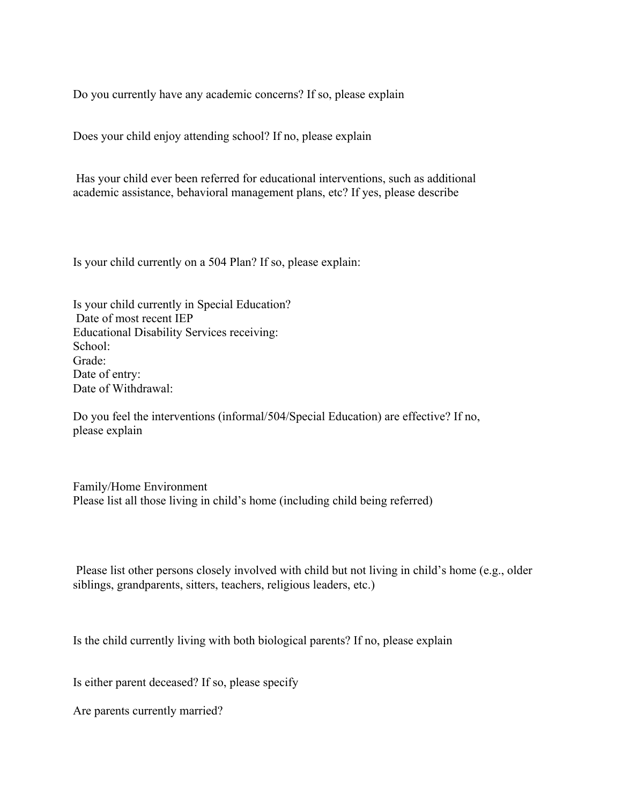Do you currently have any academic concerns? If so, please explain

Does your child enjoy attending school? If no, please explain

Has your child ever been referred for educational interventions, such as additional academic assistance, behavioral management plans, etc? If yes, please describe

Is your child currently on a 504 Plan? If so, please explain:

Is your child currently in Special Education? Date of most recent IEP Educational Disability Services receiving: School: Grade: Date of entry: Date of Withdrawal:

Do you feel the interventions (informal/504/Special Education) are effective? If no, please explain

Family/Home Environment Please list all those living in child's home (including child being referred)

Please list other persons closely involved with child but not living in child's home (e.g., older siblings, grandparents, sitters, teachers, religious leaders, etc.)

Is the child currently living with both biological parents? If no, please explain

Is either parent deceased? If so, please specify

Are parents currently married?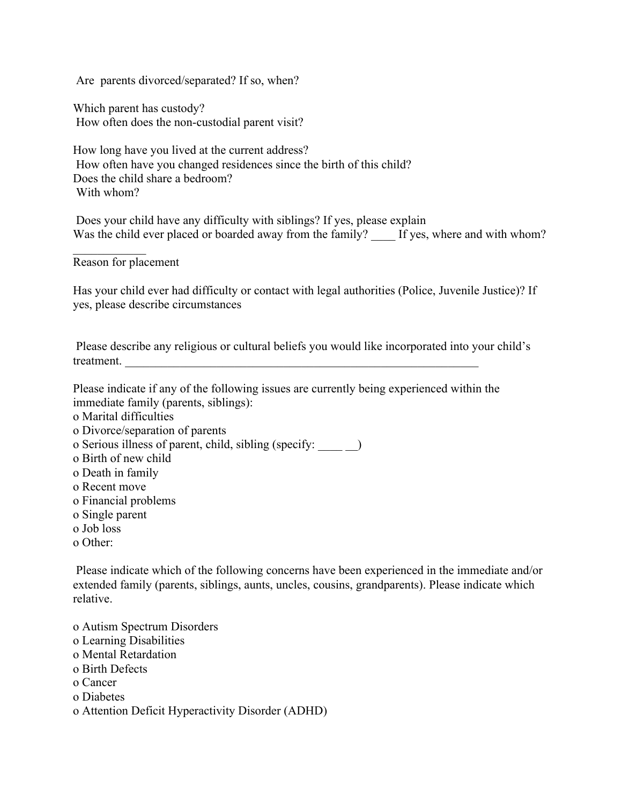Are parents divorced/separated? If so, when?

Which parent has custody? How often does the non-custodial parent visit?

How long have you lived at the current address? How often have you changed residences since the birth of this child? Does the child share a bedroom? With whom?

Does your child have any difficulty with siblings? If yes, please explain Was the child ever placed or boarded away from the family? If yes, where and with whom?

Reason for placement

 $\frac{1}{2}$ 

Has your child ever had difficulty or contact with legal authorities (Police, Juvenile Justice)? If yes, please describe circumstances

Please describe any religious or cultural beliefs you would like incorporated into your child's treatment.

Please indicate if any of the following issues are currently being experienced within the immediate family (parents, siblings):

- o Marital difficulties
- o Divorce/separation of parents
- o Serious illness of parent, child, sibling (specify: \_\_\_\_ \_\_)
- o Birth of new child
- o Death in family
- o Recent move
- o Financial problems
- o Single parent
- o Job loss
- o Other:

Please indicate which of the following concerns have been experienced in the immediate and/or extended family (parents, siblings, aunts, uncles, cousins, grandparents). Please indicate which relative.

- o Autism Spectrum Disorders
- o Learning Disabilities
- o Mental Retardation
- o Birth Defects
- o Cancer
- o Diabetes
- o Attention Deficit Hyperactivity Disorder (ADHD)